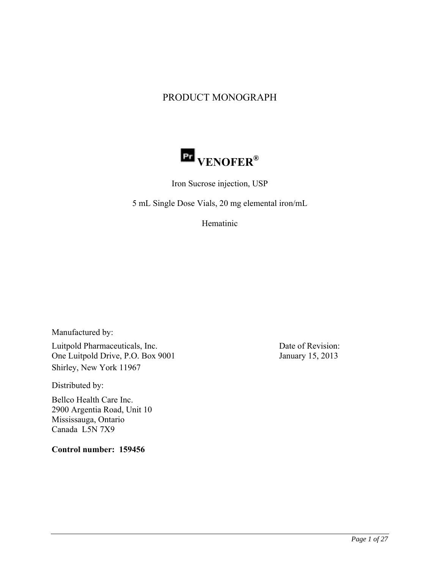# PRODUCT MONOGRAPH



Iron Sucrose injection, USP

5 mL Single Dose Vials, 20 mg elemental iron/mL

Hematinic

Manufactured by:

Luitpold Pharmaceuticals, Inc. One Luitpold Drive, P.O. Box 9001 Shirley, New York 11967

Distributed by:

Bellco Health Care Inc. 2900 Argentia Road, Unit 10 Mississauga, Ontario Canada L5N 7X9

**Control number: 159456**

Date of Revision: January 15, 2013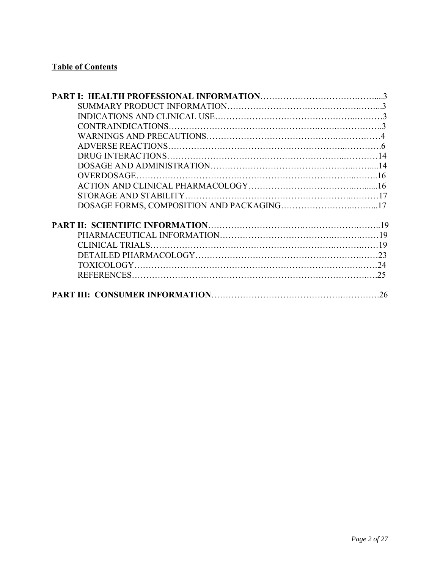# **Table of Contents**

| 25 |
|----|
| 26 |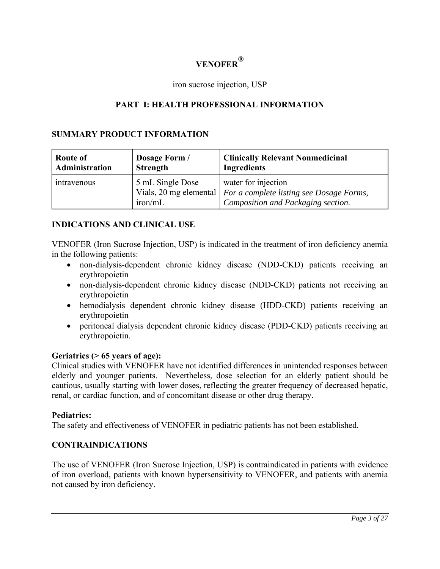# **VENOFER®**

### iron sucrose injection, USP

# **PART I: HEALTH PROFESSIONAL INFORMATION**

## **SUMMARY PRODUCT INFORMATION**

| Route of       | Dosage Form /               | <b>Clinically Relevant Nonmedicinal</b>                                                                                        |
|----------------|-----------------------------|--------------------------------------------------------------------------------------------------------------------------------|
| Administration | <b>Strength</b>             | <b>Ingredients</b>                                                                                                             |
| intravenous    | 5 mL Single Dose<br>iron/mL | water for injection<br>Vials, 20 mg elemental   For a complete listing see Dosage Forms,<br>Composition and Packaging section. |

### **INDICATIONS AND CLINICAL USE**

VENOFER (Iron Sucrose Injection, USP) is indicated in the treatment of iron deficiency anemia in the following patients:

- non-dialysis-dependent chronic kidney disease (NDD-CKD) patients receiving an erythropoietin
- non-dialysis-dependent chronic kidney disease (NDD-CKD) patients not receiving an erythropoietin
- hemodialysis dependent chronic kidney disease (HDD-CKD) patients receiving an erythropoietin
- peritoneal dialysis dependent chronic kidney disease (PDD-CKD) patients receiving an erythropoietin.

#### **Geriatrics (> 65 years of age):**

Clinical studies with VENOFER have not identified differences in unintended responses between elderly and younger patients. Nevertheless, dose selection for an elderly patient should be cautious, usually starting with lower doses, reflecting the greater frequency of decreased hepatic, renal, or cardiac function, and of concomitant disease or other drug therapy.

#### **Pediatrics:**

The safety and effectiveness of VENOFER in pediatric patients has not been established.

#### **CONTRAINDICATIONS**

The use of VENOFER (Iron Sucrose Injection, USP) is contraindicated in patients with evidence of iron overload, patients with known hypersensitivity to VENOFER, and patients with anemia not caused by iron deficiency.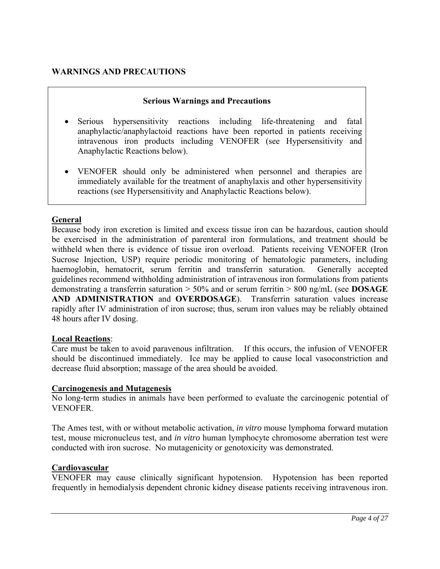# **WARNINGS AND PRECAUTIONS**

## **Serious Warnings and Precautions**

- Serious hypersensitivity reactions including life-threatening and fatal anaphylactic/anaphylactoid reactions have been reported in patients receiving intravenous iron products including VENOFER (see Hypersensitivity and Anaphylactic Reactions below).
- VENOFER should only be administered when personnel and therapies are immediately available for the treatment of anaphylaxis and other hypersensitivity reactions (see Hypersensitivity and Anaphylactic Reactions below).

# **General**

Because body iron excretion is limited and excess tissue iron can be hazardous, caution should be exercised in the administration of parenteral iron formulations, and treatment should be withheld when there is evidence of tissue iron overload. Patients receiving VENOFER (Iron Sucrose Injection, USP) require periodic monitoring of hematologic parameters, including haemoglobin, hematocrit, serum ferritin and transferrin saturation. Generally accepted guidelines recommend withholding administration of intravenous iron formulations from patients demonstrating a transferrin saturation > 50% and or serum ferritin > 800 ng/mL (see **DOSAGE AND ADMINISTRATION** and **OVERDOSAGE**). Transferrin saturation values increase rapidly after IV administration of iron sucrose; thus, serum iron values may be reliably obtained 48 hours after IV dosing.

#### **Local Reactions**:

Care must be taken to avoid paravenous infiltration. If this occurs, the infusion of VENOFER should be discontinued immediately. Ice may be applied to cause local vasoconstriction and decrease fluid absorption; massage of the area should be avoided.

#### **Carcinogenesis and Mutagenesis**

No long-term studies in animals have been performed to evaluate the carcinogenic potential of VENOFER.

The Ames test, with or without metabolic activation, *in vitro* mouse lymphoma forward mutation test, mouse micronucleus test, and *in vitro* human lymphocyte chromosome aberration test were conducted with iron sucrose. No mutagenicity or genotoxicity was demonstrated.

### **Cardiovascular**

VENOFER may cause clinically significant hypotension. Hypotension has been reported frequently in hemodialysis dependent chronic kidney disease patients receiving intravenous iron.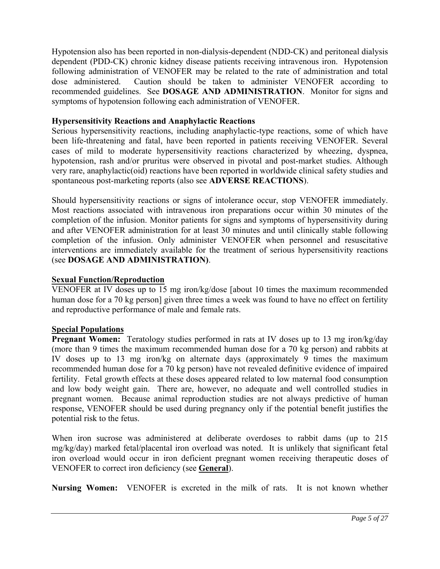Hypotension also has been reported in non-dialysis-dependent (NDD-CK) and peritoneal dialysis dependent (PDD-CK) chronic kidney disease patients receiving intravenous iron. Hypotension following administration of VENOFER may be related to the rate of administration and total dose administered. Caution should be taken to administer VENOFER according to recommended guidelines. See **DOSAGE AND ADMINISTRATION**. Monitor for signs and symptoms of hypotension following each administration of VENOFER.

# **Hypersensitivity Reactions and Anaphylactic Reactions**

Serious hypersensitivity reactions, including anaphylactic-type reactions, some of which have been life-threatening and fatal, have been reported in patients receiving VENOFER. Several cases of mild to moderate hypersensitivity reactions characterized by wheezing, dyspnea, hypotension, rash and/or pruritus were observed in pivotal and post-market studies. Although very rare, anaphylactic(oid) reactions have been reported in worldwide clinical safety studies and spontaneous post-marketing reports (also see **ADVERSE REACTIONS**).

Should hypersensitivity reactions or signs of intolerance occur, stop VENOFER immediately. Most reactions associated with intravenous iron preparations occur within 30 minutes of the completion of the infusion. Monitor patients for signs and symptoms of hypersensitivity during and after VENOFER administration for at least 30 minutes and until clinically stable following completion of the infusion. Only administer VENOFER when personnel and resuscitative interventions are immediately available for the treatment of serious hypersensitivity reactions (see **DOSAGE AND ADMINISTRATION)**.

# **Sexual Function/Reproduction**

VENOFER at IV doses up to 15 mg iron/kg/dose [about 10 times the maximum recommended human dose for a 70 kg person] given three times a week was found to have no effect on fertility and reproductive performance of male and female rats.

# **Special Populations**

**Pregnant Women:** Teratology studies performed in rats at IV doses up to 13 mg iron/kg/day (more than 9 times the maximum recommended human dose for a 70 kg person) and rabbits at IV doses up to 13 mg iron/kg on alternate days (approximately 9 times the maximum recommended human dose for a 70 kg person) have not revealed definitive evidence of impaired fertility. Fetal growth effects at these doses appeared related to low maternal food consumption and low body weight gain. There are, however, no adequate and well controlled studies in pregnant women. Because animal reproduction studies are not always predictive of human response, VENOFER should be used during pregnancy only if the potential benefit justifies the potential risk to the fetus.

When iron sucrose was administered at deliberate overdoses to rabbit dams (up to 215 mg/kg/day) marked fetal/placental iron overload was noted. It is unlikely that significant fetal iron overload would occur in iron deficient pregnant women receiving therapeutic doses of VENOFER to correct iron deficiency (see **General**).

**Nursing Women:** VENOFER is excreted in the milk of rats. It is not known whether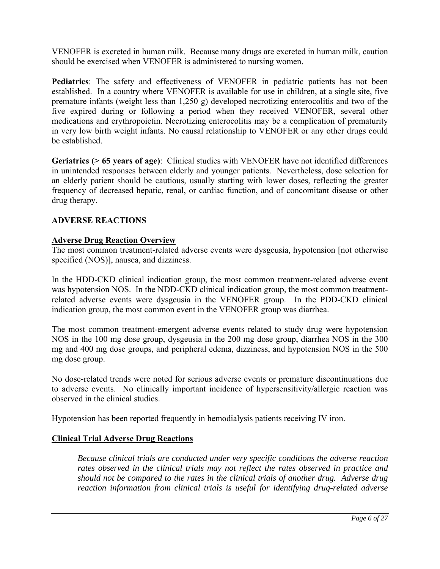VENOFER is excreted in human milk. Because many drugs are excreted in human milk, caution should be exercised when VENOFER is administered to nursing women.

**Pediatrics**: The safety and effectiveness of VENOFER in pediatric patients has not been established. In a country where VENOFER is available for use in children, at a single site, five premature infants (weight less than 1,250 g) developed necrotizing enterocolitis and two of the five expired during or following a period when they received VENOFER, several other medications and erythropoietin. Necrotizing enterocolitis may be a complication of prematurity in very low birth weight infants. No causal relationship to VENOFER or any other drugs could be established.

**Geriatrics (> 65 years of age)**: Clinical studies with VENOFER have not identified differences in unintended responses between elderly and younger patients. Nevertheless, dose selection for an elderly patient should be cautious, usually starting with lower doses, reflecting the greater frequency of decreased hepatic, renal, or cardiac function, and of concomitant disease or other drug therapy.

# **ADVERSE REACTIONS**

# **Adverse Drug Reaction Overview**

The most common treatment-related adverse events were dysgeusia, hypotension [not otherwise specified (NOS)], nausea, and dizziness.

In the HDD-CKD clinical indication group, the most common treatment-related adverse event was hypotension NOS. In the NDD-CKD clinical indication group, the most common treatmentrelated adverse events were dysgeusia in the VENOFER group. In the PDD-CKD clinical indication group, the most common event in the VENOFER group was diarrhea.

The most common treatment-emergent adverse events related to study drug were hypotension NOS in the 100 mg dose group, dysgeusia in the 200 mg dose group, diarrhea NOS in the 300 mg and 400 mg dose groups, and peripheral edema, dizziness, and hypotension NOS in the 500 mg dose group.

No dose-related trends were noted for serious adverse events or premature discontinuations due to adverse events. No clinically important incidence of hypersensitivity/allergic reaction was observed in the clinical studies.

Hypotension has been reported frequently in hemodialysis patients receiving IV iron.

# **Clinical Trial Adverse Drug Reactions**

*Because clinical trials are conducted under very specific conditions the adverse reaction rates observed in the clinical trials may not reflect the rates observed in practice and should not be compared to the rates in the clinical trials of another drug. Adverse drug reaction information from clinical trials is useful for identifying drug-related adverse*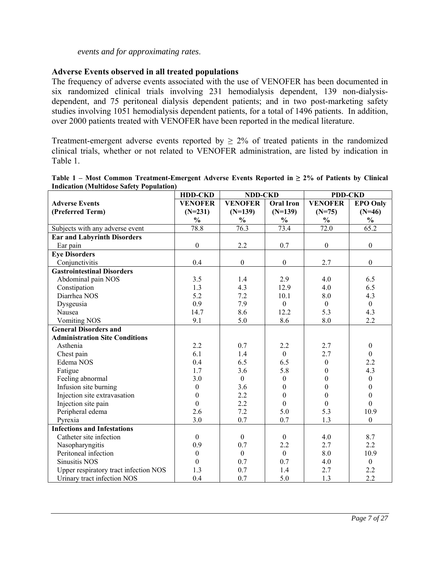### *events and for approximating rates*.

### **Adverse Events observed in all treated populations**

The frequency of adverse events associated with the use of VENOFER has been documented in six randomized clinical trials involving 231 hemodialysis dependent, 139 non-dialysisdependent, and 75 peritoneal dialysis dependent patients; and in two post-marketing safety studies involving 1051 hemodialysis dependent patients, for a total of 1496 patients. In addition, over 2000 patients treated with VENOFER have been reported in the medical literature.

Treatment-emergent adverse events reported by  $\geq 2\%$  of treated patients in the randomized clinical trials, whether or not related to VENOFER administration, are listed by indication in Table 1.

|                                       | <b>HDD-CKD</b>   | <b>NDD-CKD</b>    |                  | <b>PDD-CKD</b>    |                  |
|---------------------------------------|------------------|-------------------|------------------|-------------------|------------------|
| <b>Adverse Events</b>                 | <b>VENOFER</b>   | <b>VENOFER</b>    | <b>Oral Iron</b> | <b>VENOFER</b>    | <b>EPO Only</b>  |
| (Preferred Term)                      | $(N=231)$        | $(N=139)$         | $(N=139)$        | $(N=75)$          | $(N=46)$         |
|                                       | $\frac{0}{0}$    | $\frac{0}{0}$     | $\frac{0}{0}$    | $\frac{0}{0}$     | $\frac{0}{0}$    |
| Subjects with any adverse event       | 78.8             | $\overline{76.3}$ | 73.4             | $\overline{7}2.0$ | 65.2             |
| <b>Ear and Labyrinth Disorders</b>    |                  |                   |                  |                   |                  |
| Ear pain                              | $\boldsymbol{0}$ | 2.2               | 0.7              | $\boldsymbol{0}$  | $\boldsymbol{0}$ |
| <b>Eye Disorders</b>                  |                  |                   |                  |                   |                  |
| Conjunctivitis                        | 0.4              | $\boldsymbol{0}$  | $\boldsymbol{0}$ | 2.7               | $\boldsymbol{0}$ |
| <b>Gastrointestinal Disorders</b>     |                  |                   |                  |                   |                  |
| Abdominal pain NOS                    | 3.5              | 1.4               | 2.9              | 4.0               | 6.5              |
| Constipation                          | 1.3              | 4.3               | 12.9             | 4.0               | 6.5              |
| Diarrhea NOS                          | 5.2              | 7.2               | 10.1             | 8.0               | 4.3              |
| Dysgeusia                             | 0.9              | 7.9               | $\mathbf{0}$     | $\mathbf{0}$      | $\mathbf{0}$     |
| Nausea                                | 14.7             | 8.6               | 12.2             | 5.3               | 4.3              |
| <b>Vomiting NOS</b>                   | 9.1              | 5.0               | 8.6              | 8.0               | 2.2              |
| <b>General Disorders and</b>          |                  |                   |                  |                   |                  |
| <b>Administration Site Conditions</b> |                  |                   |                  |                   |                  |
| Asthenia                              | 2.2              | 0.7               | 2.2              | 2.7               | $\boldsymbol{0}$ |
| Chest pain                            | 6.1              | 1.4               | $\mathbf{0}$     | 2.7               | $\mathbf{0}$     |
| Edema NOS                             | 0.4              | 6.5               | 6.5              | $\boldsymbol{0}$  | 2.2              |
| Fatigue                               | 1.7              | 3.6               | 5.8              | $\boldsymbol{0}$  | 4.3              |
| Feeling abnormal                      | 3.0              | $\boldsymbol{0}$  | $\boldsymbol{0}$ | $\theta$          | $\boldsymbol{0}$ |
| Infusion site burning                 | $\boldsymbol{0}$ | 3.6               | $\overline{0}$   | $\theta$          | $\boldsymbol{0}$ |
| Injection site extravasation          | $\theta$         | 2.2               | $\theta$         | $\theta$          | $\boldsymbol{0}$ |
| Injection site pain                   | $\overline{0}$   | 2.2               | $\overline{0}$   | $\overline{0}$    | $\mathbf{0}$     |
| Peripheral edema                      | 2.6              | 7.2               | 5.0              | 5.3               | 10.9             |
| Pyrexia                               | 3.0              | 0.7               | 0.7              | 1.3               | $\mathbf{0}$     |
| <b>Infections and Infestations</b>    |                  |                   |                  |                   |                  |
| Catheter site infection               | $\mathbf{0}$     | $\boldsymbol{0}$  | $\mathbf{0}$     | 4.0               | 8.7              |
| Nasopharyngitis                       | 0.9              | 0.7               | 2.2              | 2.7               | 2.2              |
| Peritoneal infection                  | $\boldsymbol{0}$ | $\mathbf{0}$      | $\mathbf{0}$     | 8.0               | 10.9             |
| <b>Sinusitis NOS</b>                  | $\mathbf{0}$     | 0.7               | 0.7              | 4.0               | $\boldsymbol{0}$ |
| Upper respiratory tract infection NOS | 1.3              | 0.7               | 1.4              | 2.7               | 2.2              |
| Urinary tract infection NOS           | 0.4              | 0.7               | 5.0              | 1.3               | 2.2              |

**Table 1 – Most Common Treatment-Emergent Adverse Events Reported in ≥ 2% of Patients by Clinical Indication (Multidose Safety Population)**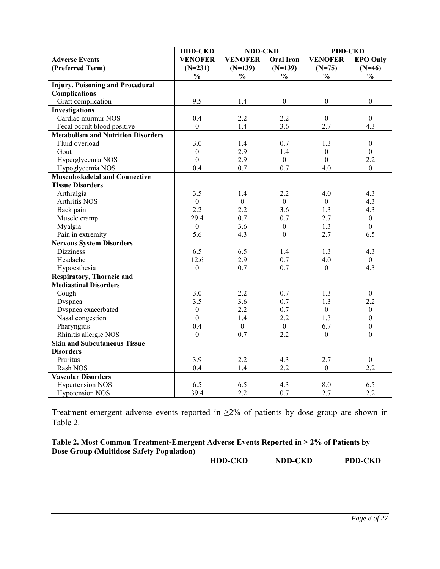|                                           | <b>HDD-CKD</b>   | <b>NDD-CKD</b>   |                  | <b>PDD-CKD</b>   |                  |
|-------------------------------------------|------------------|------------------|------------------|------------------|------------------|
| <b>Adverse Events</b>                     | <b>VENOFER</b>   | <b>VENOFER</b>   | <b>Oral Iron</b> | <b>VENOFER</b>   | <b>EPO Only</b>  |
| (Preferred Term)                          | $(N=231)$        | $(N=139)$        | $(N=139)$        | $(N=75)$         | $(N=46)$         |
|                                           | $\frac{0}{0}$    | $\frac{6}{6}$    | $\frac{0}{0}$    | $\frac{0}{0}$    | $\frac{0}{0}$    |
| <b>Injury, Poisoning and Procedural</b>   |                  |                  |                  |                  |                  |
| <b>Complications</b>                      |                  |                  |                  |                  |                  |
| Graft complication                        | 9.5              | 1.4              | $\boldsymbol{0}$ | $\mathbf{0}$     | $\overline{0}$   |
| <b>Investigations</b>                     |                  |                  |                  |                  |                  |
| Cardiac murmur NOS                        | 0.4              | 2.2              | 2.2              | $\mathbf{0}$     | $\boldsymbol{0}$ |
| Fecal occult blood positive               | $\boldsymbol{0}$ | 1.4              | 3.6              | 2.7              | 4.3              |
| <b>Metabolism and Nutrition Disorders</b> |                  |                  |                  |                  |                  |
| Fluid overload                            | 3.0              | 1.4              | 0.7              | 1.3              | $\boldsymbol{0}$ |
| Gout                                      | $\boldsymbol{0}$ | 2.9              | 1.4              | $\mathbf{0}$     | $\mathbf{0}$     |
| Hyperglycemia NOS                         | $\boldsymbol{0}$ | 2.9              | $\boldsymbol{0}$ | $\theta$         | 2.2              |
| Hypoglycemia NOS                          | 0.4              | 0.7              | 0.7              | 4.0              | $\overline{0}$   |
| <b>Musculoskeletal and Connective</b>     |                  |                  |                  |                  |                  |
| <b>Tissue Disorders</b>                   |                  |                  |                  |                  |                  |
| Arthralgia                                | 3.5              | 1.4              | 2.2              | 4.0              | 4.3              |
| Arthritis NOS                             | $\boldsymbol{0}$ | $\boldsymbol{0}$ | $\overline{0}$   | $\mathbf{0}$     | 4.3              |
| Back pain                                 | 2.2              | 2.2              | 3.6              | 1.3              | 4.3              |
| Muscle cramp                              | 29.4             | 0.7              | 0.7              | 2.7              | $\boldsymbol{0}$ |
| Myalgia                                   | $\boldsymbol{0}$ | 3.6              | $\boldsymbol{0}$ | 1.3              | $\theta$         |
| Pain in extremity                         | 5.6              | 4.3              | $\mathbf{0}$     | 2.7              | 6.5              |
| <b>Nervous System Disorders</b>           |                  |                  |                  |                  |                  |
| <b>Dizziness</b>                          | 6.5              | 6.5              | 1.4              | 1.3              | 4.3              |
| Headache                                  | 12.6             | 2.9              | 0.7              | 4.0              | $\theta$         |
| Hypoesthesia                              | $\boldsymbol{0}$ | 0.7              | 0.7              | $\boldsymbol{0}$ | 4.3              |
| <b>Respiratory, Thoracic and</b>          |                  |                  |                  |                  |                  |
| <b>Mediastinal Disorders</b>              |                  |                  |                  |                  |                  |
| Cough                                     | 3.0              | 2.2              | 0.7              | 1.3              | $\mathbf{0}$     |
| Dyspnea                                   | 3.5              | 3.6              | 0.7              | 1.3              | 2.2              |
| Dyspnea exacerbated                       | $\boldsymbol{0}$ | 2.2              | 0.7              | $\mathbf{0}$     | $\boldsymbol{0}$ |
| Nasal congestion                          | $\overline{0}$   | 1.4              | 2.2              | 1.3              | $\mathbf{0}$     |
| Pharyngitis                               | 0.4              | $\boldsymbol{0}$ | $\boldsymbol{0}$ | 6.7              | $\boldsymbol{0}$ |
| Rhinitis allergic NOS                     | $\boldsymbol{0}$ | 0.7              | 2.2              | $\boldsymbol{0}$ | $\mathbf{0}$     |
| <b>Skin and Subcutaneous Tissue</b>       |                  |                  |                  |                  |                  |
| <b>Disorders</b>                          |                  |                  |                  |                  |                  |
| Pruritus                                  | 3.9              | 2.2              | 4.3              | 2.7              | $\boldsymbol{0}$ |
| Rash NOS                                  | 0.4              | 1.4              | 2.2              | $\boldsymbol{0}$ | 2.2              |
| <b>Vascular Disorders</b>                 |                  |                  |                  |                  |                  |
| Hypertension NOS                          | 6.5              | 6.5              | 4.3              | 8.0              | 6.5              |
| <b>Hypotension NOS</b>                    | 39.4             | 2.2              | 0.7              | 2.7              | 2.2              |

Treatment-emergent adverse events reported in  $\geq 2\%$  of patients by dose group are shown in Table 2.

| Table 2. Most Common Treatment-Emergent Adverse Events Reported in > 2% of Patients by<br>Dose Group (Multidose Safety Population) |                |                |                |
|------------------------------------------------------------------------------------------------------------------------------------|----------------|----------------|----------------|
|                                                                                                                                    | <b>HDD-CKD</b> | <b>NDD-CKD</b> | <b>PDD-CKD</b> |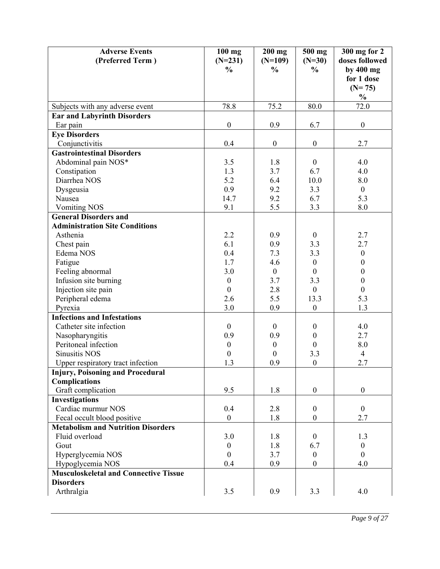| <b>Adverse Events</b>                        | $100$ mg         | $200$ mg         | 500 mg           | 300 mg for 2          |
|----------------------------------------------|------------------|------------------|------------------|-----------------------|
| (Preferred Term)                             | $(N=231)$        | $(N=109)$        | $(N=30)$         | doses followed        |
|                                              | $\frac{0}{0}$    | $\frac{0}{0}$    | $\%$             | by 400 mg             |
|                                              |                  |                  |                  | for 1 dose            |
|                                              |                  |                  |                  | $(N=75)$              |
|                                              |                  |                  |                  | $\frac{1}{2}$<br>72.0 |
| Subjects with any adverse event              | 78.8             | 75.2             | 80.0             |                       |
| <b>Ear and Labyrinth Disorders</b>           | $\boldsymbol{0}$ | 0.9              | 6.7              | $\boldsymbol{0}$      |
| Ear pain                                     |                  |                  |                  |                       |
| <b>Eye Disorders</b><br>Conjunctivitis       | 0.4              | $\boldsymbol{0}$ | $\boldsymbol{0}$ | 2.7                   |
| <b>Gastrointestinal Disorders</b>            |                  |                  |                  |                       |
| Abdominal pain NOS*                          | 3.5              | 1.8              | $\mathbf{0}$     | 4.0                   |
| Constipation                                 | 1.3              | 3.7              | 6.7              | 4.0                   |
| Diarrhea NOS                                 | 5.2              | 6.4              | 10.0             | 8.0                   |
| Dysgeusia                                    | 0.9              | 9.2              | 3.3              | $\boldsymbol{0}$      |
| Nausea                                       | 14.7             | 9.2              | 6.7              | 5.3                   |
| <b>Vomiting NOS</b>                          | 9.1              | 5.5              | 3.3              | 8.0                   |
| <b>General Disorders and</b>                 |                  |                  |                  |                       |
| <b>Administration Site Conditions</b>        |                  |                  |                  |                       |
| Asthenia                                     | 2.2              | 0.9              | $\mathbf{0}$     | 2.7                   |
| Chest pain                                   | 6.1              | 0.9              | 3.3              | 2.7                   |
| Edema NOS                                    | 0.4              | 7.3              | 3.3              | $\boldsymbol{0}$      |
| Fatigue                                      | 1.7              | 4.6              | $\boldsymbol{0}$ | $\boldsymbol{0}$      |
| Feeling abnormal                             | 3.0              | $\boldsymbol{0}$ | $\theta$         | $\boldsymbol{0}$      |
| Infusion site burning                        | $\boldsymbol{0}$ | 3.7              | 3.3              | $\boldsymbol{0}$      |
| Injection site pain                          | $\boldsymbol{0}$ | 2.8              | $\mathbf{0}$     | $\boldsymbol{0}$      |
| Peripheral edema                             | 2.6              | 5.5              | 13.3             | 5.3                   |
| Pyrexia                                      | 3.0              | 0.9              | $\boldsymbol{0}$ | 1.3                   |
| <b>Infections and Infestations</b>           |                  |                  |                  |                       |
| Catheter site infection                      | $\boldsymbol{0}$ | $\boldsymbol{0}$ | $\boldsymbol{0}$ | 4.0                   |
| Nasopharyngitis                              | 0.9              | 0.9              | $\boldsymbol{0}$ | 2.7                   |
| Peritoneal infection                         | $\boldsymbol{0}$ | $\boldsymbol{0}$ | $\boldsymbol{0}$ | 8.0                   |
| <b>Sinusitis NOS</b>                         | $\boldsymbol{0}$ | $\boldsymbol{0}$ | 3.3              | $\overline{4}$        |
| Upper respiratory tract infection            | 1.3              | 0.9              | $\boldsymbol{0}$ | 2.7                   |
| <b>Injury, Poisoning and Procedural</b>      |                  |                  |                  |                       |
| <b>Complications</b>                         |                  |                  |                  |                       |
| Graft complication                           | 9.5              | 1.8              | $\boldsymbol{0}$ | $\boldsymbol{0}$      |
| <b>Investigations</b>                        |                  |                  |                  |                       |
| Cardiac murmur NOS                           | 0.4              | 2.8              | $\boldsymbol{0}$ | $\boldsymbol{0}$      |
| Fecal occult blood positive                  | $\boldsymbol{0}$ | 1.8              | $\boldsymbol{0}$ | 2.7                   |
| <b>Metabolism and Nutrition Disorders</b>    |                  |                  |                  |                       |
| Fluid overload                               | 3.0              | 1.8              | $\mathbf{0}$     | 1.3                   |
| Gout                                         | $\boldsymbol{0}$ | 1.8              | 6.7              | $\boldsymbol{0}$      |
| Hyperglycemia NOS                            | $\boldsymbol{0}$ | 3.7              | $\boldsymbol{0}$ | $\mathbf{0}$          |
| Hypoglycemia NOS                             | 0.4              | 0.9              | $\boldsymbol{0}$ | 4.0                   |
| <b>Musculoskeletal and Connective Tissue</b> |                  |                  |                  |                       |
| <b>Disorders</b>                             |                  |                  |                  |                       |
| Arthralgia                                   | 3.5              | 0.9              | 3.3              | 4.0                   |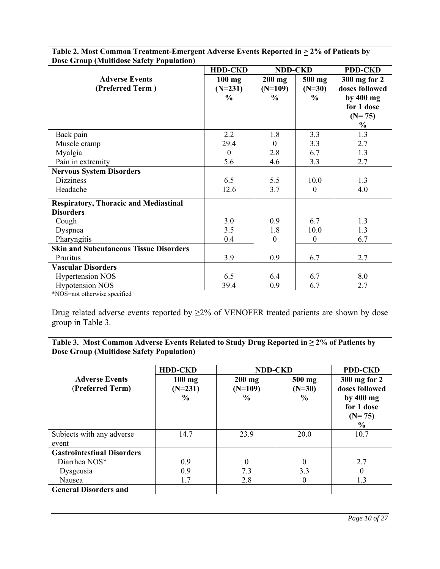| <b>Dose Group (Multidose Safety Population)</b> |                  |                  |                  |                |
|-------------------------------------------------|------------------|------------------|------------------|----------------|
|                                                 | <b>HDD-CKD</b>   | <b>NDD-CKD</b>   |                  | <b>PDD-CKD</b> |
| <b>Adverse Events</b>                           | $100$ mg         | $200$ mg         | 500 mg           | 300 mg for 2   |
| (Preferred Term)                                | $(N=231)$        | $(N=109)$        | $(N=30)$         | doses followed |
|                                                 | $\frac{0}{0}$    | $\frac{6}{10}$   | $\frac{6}{9}$    | by $400$ mg    |
|                                                 |                  |                  |                  | for 1 dose     |
|                                                 |                  |                  |                  | $(N=75)$       |
|                                                 |                  |                  |                  | $\frac{0}{0}$  |
| Back pain                                       | 2.2              | 1.8              | 3.3              | 1.3            |
| Muscle cramp                                    | 29.4             | $\theta$         | 3.3              | 2.7            |
| Myalgia                                         | $\boldsymbol{0}$ | 2.8              | 6.7              | 1.3            |
| Pain in extremity                               | 5.6              | 4.6              | 3.3              | 2.7            |
| <b>Nervous System Disorders</b>                 |                  |                  |                  |                |
| <b>Dizziness</b>                                | 6.5              | 5.5              | 10.0             | 1.3            |
| Headache                                        | 12.6             | 3.7              | $\mathbf{0}$     | 4.0            |
| <b>Respiratory, Thoracic and Mediastinal</b>    |                  |                  |                  |                |
| <b>Disorders</b>                                |                  |                  |                  |                |
| Cough                                           | 3.0              | 0.9              | 6.7              | 1.3            |
| Dyspnea                                         | 3.5              | 1.8              | 10.0             | 1.3            |
| Pharyngitis                                     | 0.4              | $\boldsymbol{0}$ | $\boldsymbol{0}$ | 6.7            |
| <b>Skin and Subcutaneous Tissue Disorders</b>   |                  |                  |                  |                |
| Pruritus                                        | 3.9              | 0.9              | 6.7              | 2.7            |
| <b>Vascular Disorders</b>                       |                  |                  |                  |                |
| <b>Hypertension NOS</b>                         | 6.5              | 6.4              | 6.7              | 8.0            |
| <b>Hypotension NOS</b><br>$\sim$ $\sim$ $\sim$  | 39.4             | 0.9              | 6.7              | 2.7            |

Table 2. Most Common Treatment-Emergent Adverse Events Reported in  $\geq$  2% of Patients by

\*NOS=not otherwise specified

Drug related adverse events reported by ≥2% of VENOFER treated patients are shown by dose group in Table 3.

**Table 3. Most Common Adverse Events Related to Study Drug Reported in ≥ 2% of Patients by Dose Group (Multidose Safety Population)**

|                                   | <b>HDD-CKD</b> | <b>NDD-CKD</b> |               | <b>PDD-CKD</b> |
|-----------------------------------|----------------|----------------|---------------|----------------|
| <b>Adverse Events</b>             | $100$ mg       | $200$ mg       | 500 mg        | 300 mg for 2   |
| (Preferred Term)                  | $(N=231)$      | $(N=109)$      | $(N=30)$      | doses followed |
|                                   | $\frac{0}{0}$  | $\frac{0}{0}$  | $\frac{0}{0}$ |                |
|                                   |                |                |               | by $400$ mg    |
|                                   |                |                |               | for 1 dose     |
|                                   |                |                |               | $(N=75)$       |
|                                   |                |                |               | $\frac{6}{6}$  |
| Subjects with any adverse         | 14.7           | 23.9           | 20.0          | 10.7           |
| event                             |                |                |               |                |
| <b>Gastrointestinal Disorders</b> |                |                |               |                |
| Diarrhea NOS*                     | 0.9            | $\theta$       | 0             | 2.7            |
| Dysgeusia                         | 0.9            | 7.3            | 3.3           | $\theta$       |
| Nausea                            | 1.7            | 2.8            | $\Omega$      | 1.3            |
| <b>General Disorders and</b>      |                |                |               |                |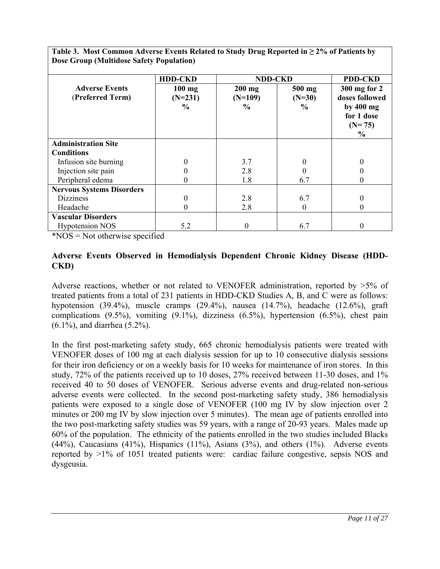**Table 3. Most Common Adverse Events Related to Study Drug Reported in ≥ 2% of Patients by Dose Group (Multidose Safety Population)**

|                                  | <b>HDD-CKD</b> | <b>NDD-CKD</b> |               | <b>PDD-CKD</b> |
|----------------------------------|----------------|----------------|---------------|----------------|
| <b>Adverse Events</b>            | $100$ mg       | $200$ mg       | 500 mg        | 300 mg for 2   |
| (Preferred Term)                 | $(N=231)$      | $(N=109)$      | $(N=30)$      | doses followed |
|                                  | $\frac{6}{9}$  | $\frac{1}{2}$  | $\frac{6}{9}$ | by $400$ mg    |
|                                  |                |                |               | for 1 dose     |
|                                  |                |                |               | $(N=75)$       |
|                                  |                |                |               | $\frac{6}{9}$  |
| <b>Administration Site</b>       |                |                |               |                |
| <b>Conditions</b>                |                |                |               |                |
| Infusion site burning            |                | 3.7            |               |                |
| Injection site pain              |                | 2.8            |               |                |
| Peripheral edema                 |                | 1.8            | 6.7           |                |
| <b>Nervous Systems Disorders</b> |                |                |               |                |
| <b>Dizziness</b>                 |                | 2.8            | 6.7           |                |
| Headache                         | 0              | 2.8            | $\theta$      | 0              |
| <b>Vascular Disorders</b>        |                |                |               |                |
| <b>Hypotension NOS</b>           | 5.2            |                | 6.7           |                |

\*NOS = Not otherwise specified

## **Adverse Events Observed in Hemodialysis Dependent Chronic Kidney Disease (HDD-CKD)**

Adverse reactions, whether or not related to VENOFER administration, reported by >5% of treated patients from a total of 231 patients in HDD-CKD Studies A, B, and C were as follows: hypotension (39.4%), muscle cramps (29.4%), nausea (14.7%), headache (12.6%), graft complications (9.5%), vomiting (9.1%), dizziness (6.5%), hypertension (6.5%), chest pain (6.1%), and diarrhea (5.2%).

In the first post-marketing safety study, 665 chronic hemodialysis patients were treated with VENOFER doses of 100 mg at each dialysis session for up to 10 consecutive dialysis sessions for their iron deficiency or on a weekly basis for 10 weeks for maintenance of iron stores. In this study, 72% of the patients received up to 10 doses, 27% received between 11-30 doses, and 1% received 40 to 50 doses of VENOFER. Serious adverse events and drug-related non-serious adverse events were collected. In the second post-marketing safety study, 386 hemodialysis patients were exposed to a single dose of VENOFER (100 mg IV by slow injection over 2 minutes or 200 mg IV by slow injection over 5 minutes). The mean age of patients enrolled into the two post-marketing safety studies was 59 years, with a range of 20-93 years. Males made up 60% of the population. The ethnicity of the patients enrolled in the two studies included Blacks  $(44\%)$ , Caucasians  $(41\%)$ , Hispanics  $(11\%)$ , Asians  $(3\%)$ , and others  $(1\%)$ . Adverse events reported by >1% of 1051 treated patients were: cardiac failure congestive, sepsis NOS and dysgeusia.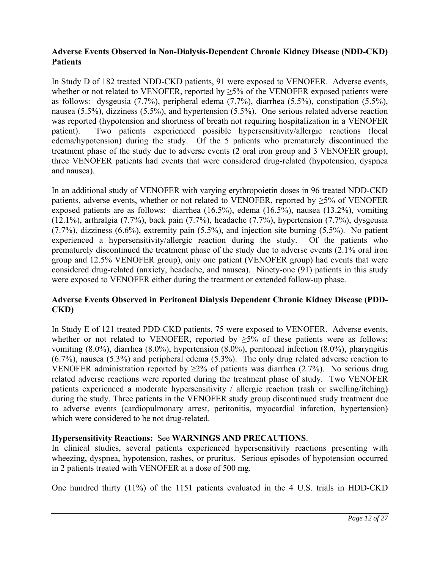# **Adverse Events Observed in Non-Dialysis-Dependent Chronic Kidney Disease (NDD-CKD) Patients**

In Study D of 182 treated NDD-CKD patients, 91 were exposed to VENOFER. Adverse events, whether or not related to VENOFER, reported by  $\geq$ 5% of the VENOFER exposed patients were as follows: dysgeusia (7.7%), peripheral edema (7.7%), diarrhea (5.5%), constipation (5.5%), nausea (5.5%), dizziness (5.5%), and hypertension (5.5%). One serious related adverse reaction was reported (hypotension and shortness of breath not requiring hospitalization in a VENOFER patient). Two patients experienced possible hypersensitivity/allergic reactions (local edema/hypotension) during the study. Of the 5 patients who prematurely discontinued the treatment phase of the study due to adverse events (2 oral iron group and 3 VENOFER group), three VENOFER patients had events that were considered drug-related (hypotension, dyspnea and nausea).

In an additional study of VENOFER with varying erythropoietin doses in 96 treated NDD-CKD patients, adverse events, whether or not related to VENOFER, reported by  $\geq$ 5% of VENOFER exposed patients are as follows: diarrhea (16.5%), edema (16.5%), nausea (13.2%), vomiting (12.1%), arthralgia (7.7%), back pain (7.7%), headache (7.7%), hypertension (7.7%), dysgeusia (7.7%), dizziness (6.6%), extremity pain (5.5%), and injection site burning (5.5%). No patient experienced a hypersensitivity/allergic reaction during the study. Of the patients who prematurely discontinued the treatment phase of the study due to adverse events (2.1% oral iron group and 12.5% VENOFER group), only one patient (VENOFER group) had events that were considered drug-related (anxiety, headache, and nausea). Ninety-one (91) patients in this study were exposed to VENOFER either during the treatment or extended follow-up phase.

# **Adverse Events Observed in Peritoneal Dialysis Dependent Chronic Kidney Disease (PDD-CKD)**

In Study E of 121 treated PDD-CKD patients, 75 were exposed to VENOFER. Adverse events, whether or not related to VENOFER, reported by  $\geq 5\%$  of these patients were as follows: vomiting (8.0%), diarrhea (8.0%), hypertension (8.0%), peritoneal infection (8.0%), pharyngitis (6.7%), nausea (5.3%) and peripheral edema (5.3%). The only drug related adverse reaction to VENOFER administration reported by  $\geq 2\%$  of patients was diarrhea (2.7%). No serious drug related adverse reactions were reported during the treatment phase of study. Two VENOFER patients experienced a moderate hypersensitivity / allergic reaction (rash or swelling/itching) during the study. Three patients in the VENOFER study group discontinued study treatment due to adverse events (cardiopulmonary arrest, peritonitis, myocardial infarction, hypertension) which were considered to be not drug-related.

# **Hypersensitivity Reactions:** See **WARNINGS AND PRECAUTIONS**.

In clinical studies, several patients experienced hypersensitivity reactions presenting with wheezing, dyspnea, hypotension, rashes, or pruritus. Serious episodes of hypotension occurred in 2 patients treated with VENOFER at a dose of 500 mg.

One hundred thirty (11%) of the 1151 patients evaluated in the 4 U.S. trials in HDD-CKD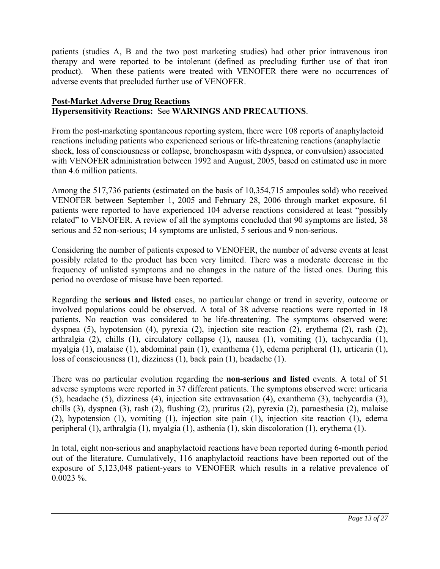patients (studies A, B and the two post marketing studies) had other prior intravenous iron therapy and were reported to be intolerant (defined as precluding further use of that iron product). When these patients were treated with VENOFER there were no occurrences of adverse events that precluded further use of VENOFER.

# **Post-Market Adverse Drug Reactions Hypersensitivity Reactions:** See **WARNINGS AND PRECAUTIONS**.

From the post-marketing spontaneous reporting system, there were 108 reports of anaphylactoid reactions including patients who experienced serious or life-threatening reactions (anaphylactic shock, loss of consciousness or collapse, bronchospasm with dyspnea, or convulsion) associated with VENOFER administration between 1992 and August, 2005, based on estimated use in more than 4.6 million patients.

Among the 517,736 patients (estimated on the basis of 10,354,715 ampoules sold) who received VENOFER between September 1, 2005 and February 28, 2006 through market exposure, 61 patients were reported to have experienced 104 adverse reactions considered at least "possibly related" to VENOFER. A review of all the symptoms concluded that 90 symptoms are listed, 38 serious and 52 non-serious; 14 symptoms are unlisted, 5 serious and 9 non-serious.

Considering the number of patients exposed to VENOFER, the number of adverse events at least possibly related to the product has been very limited. There was a moderate decrease in the frequency of unlisted symptoms and no changes in the nature of the listed ones. During this period no overdose of misuse have been reported.

Regarding the **serious and listed** cases, no particular change or trend in severity, outcome or involved populations could be observed. A total of 38 adverse reactions were reported in 18 patients. No reaction was considered to be life-threatening. The symptoms observed were: dyspnea (5), hypotension (4), pyrexia (2), injection site reaction (2), erythema (2), rash (2), arthralgia (2), chills (1), circulatory collapse (1), nausea (1), vomiting (1), tachycardia (1), myalgia (1), malaise (1), abdominal pain (1), exanthema (1), edema peripheral (1), urticaria (1), loss of consciousness (1), dizziness (1), back pain (1), headache (1).

There was no particular evolution regarding the **non-serious and listed** events. A total of 51 adverse symptoms were reported in 37 different patients. The symptoms observed were: urticaria (5), headache (5), dizziness (4), injection site extravasation (4), exanthema (3), tachycardia (3), chills (3), dyspnea (3), rash (2), flushing (2), pruritus (2), pyrexia (2), paraesthesia (2), malaise (2), hypotension (1), vomiting (1), injection site pain (1), injection site reaction (1), edema peripheral (1), arthralgia (1), myalgia (1), asthenia (1), skin discoloration (1), erythema (1).

In total, eight non-serious and anaphylactoid reactions have been reported during 6-month period out of the literature. Cumulatively, 116 anaphylactoid reactions have been reported out of the exposure of 5,123,048 patient-years to VENOFER which results in a relative prevalence of  $0.0023 \%$ .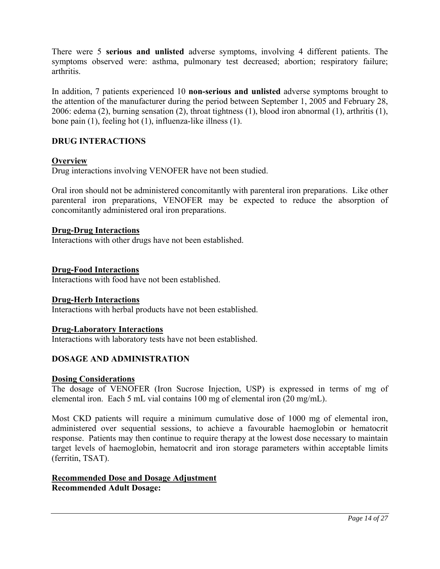There were 5 **serious and unlisted** adverse symptoms, involving 4 different patients. The symptoms observed were: asthma, pulmonary test decreased; abortion; respiratory failure; arthritis.

In addition, 7 patients experienced 10 **non-serious and unlisted** adverse symptoms brought to the attention of the manufacturer during the period between September 1, 2005 and February 28, 2006: edema (2), burning sensation (2), throat tightness (1), blood iron abnormal (1), arthritis (1), bone pain (1), feeling hot (1), influenza-like illness (1).

# **DRUG INTERACTIONS**

### **Overview**

Drug interactions involving VENOFER have not been studied.

Oral iron should not be administered concomitantly with parenteral iron preparations. Like other parenteral iron preparations, VENOFER may be expected to reduce the absorption of concomitantly administered oral iron preparations.

#### **Drug-Drug Interactions**

Interactions with other drugs have not been established.

#### **Drug-Food Interactions**

Interactions with food have not been established.

#### **Drug-Herb Interactions**

Interactions with herbal products have not been established.

#### **Drug-Laboratory Interactions**

Interactions with laboratory tests have not been established.

#### **DOSAGE AND ADMINISTRATION**

#### **Dosing Considerations**

The dosage of VENOFER (Iron Sucrose Injection, USP) is expressed in terms of mg of elemental iron. Each 5 mL vial contains 100 mg of elemental iron (20 mg/mL).

Most CKD patients will require a minimum cumulative dose of 1000 mg of elemental iron, administered over sequential sessions, to achieve a favourable haemoglobin or hematocrit response. Patients may then continue to require therapy at the lowest dose necessary to maintain target levels of haemoglobin, hematocrit and iron storage parameters within acceptable limits (ferritin, TSAT).

### **Recommended Dose and Dosage Adjustment Recommended Adult Dosage:**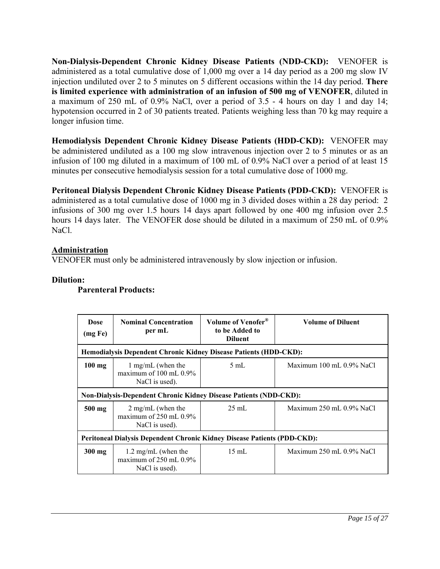**Non-Dialysis-Dependent Chronic Kidney Disease Patients (NDD-CKD):** VENOFER is administered as a total cumulative dose of 1,000 mg over a 14 day period as a 200 mg slow IV injection undiluted over 2 to 5 minutes on 5 different occasions within the 14 day period. **There is limited experience with administration of an infusion of 500 mg of VENOFER**, diluted in a maximum of 250 mL of 0.9% NaCl, over a period of 3.5 - 4 hours on day 1 and day 14; hypotension occurred in 2 of 30 patients treated. Patients weighing less than 70 kg may require a longer infusion time.

**Hemodialysis Dependent Chronic Kidney Disease Patients (HDD-CKD):** VENOFER may be administered undiluted as a 100 mg slow intravenous injection over 2 to 5 minutes or as an infusion of 100 mg diluted in a maximum of 100 mL of 0.9% NaCl over a period of at least 15 minutes per consecutive hemodialysis session for a total cumulative dose of 1000 mg.

**Peritoneal Dialysis Dependent Chronic Kidney Disease Patients (PDD-CKD):** VENOFER is administered as a total cumulative dose of 1000 mg in 3 divided doses within a 28 day period: 2 infusions of 300 mg over 1.5 hours 14 days apart followed by one 400 mg infusion over 2.5 hours 14 days later. The VENOFER dose should be diluted in a maximum of 250 mL of 0.9% NaCl.

# **Administration**

VENOFER must only be administered intravenously by slow injection or infusion.

### **Dilution:**

# **Parenteral Products:**

| <b>Dose</b><br>(mg Fe)                                                   | <b>Nominal Concentration</b><br>per mL                                       | Volume of Venofer <sup>®</sup><br>to be Added to<br><b>Diluent</b> | Volume of Diluent                       |  |
|--------------------------------------------------------------------------|------------------------------------------------------------------------------|--------------------------------------------------------------------|-----------------------------------------|--|
|                                                                          | <b>Hemodialysis Dependent Chronic Kidney Disease Patients (HDD-CKD):</b>     |                                                                    |                                         |  |
| $100$ mg                                                                 | 1 mg/mL (when the<br>maximum of $100 \text{ mL} 0.9\%$<br>NaCl is used).     | $5 \text{ mL}$                                                     | Maximum $100 \text{ mL}$ , $0.9\%$ NaCl |  |
|                                                                          | <b>Non-Dialysis-Dependent Chronic Kidney Disease Patients (NDD-CKD):</b>     |                                                                    |                                         |  |
| $500$ mg                                                                 | $2 \text{ mg/mL}$ (when the<br>maximum of $250$ mL $0.9\%$<br>NaCl is used). | $25 \text{ mL}$                                                    | Maximum $250$ mL $0.9\%$ NaCl           |  |
| Peritoneal Dialysis Dependent Chronic Kidney Disease Patients (PDD-CKD): |                                                                              |                                                                    |                                         |  |
| $300$ mg                                                                 | 1.2 mg/mL (when the<br>maximum of $250$ mL $0.9\%$<br>NaCl is used).         | $15 \text{ mL}$                                                    | Maximum $250$ mL $0.9\%$ NaCl           |  |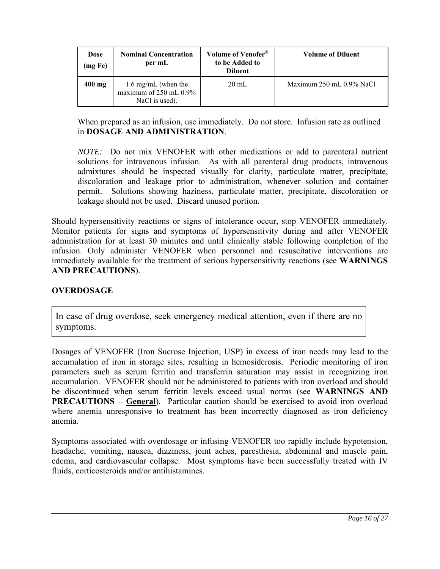| <b>Dose</b><br>(mg Fe) | <b>Nominal Concentration</b><br>per mL                               | Volume of Venofer <sup>®</sup><br>to be Added to<br><b>Diluent</b> | <b>Volume of Diluent</b> |
|------------------------|----------------------------------------------------------------------|--------------------------------------------------------------------|--------------------------|
| $400$ mg               | 1.6 mg/mL (when the<br>maximum of $250$ mL $0.9\%$<br>NaCl is used). | $20 \text{ mL}$                                                    | Maximum 250 mL 0.9% NaCl |

When prepared as an infusion, use immediately. Do not store. Infusion rate as outlined in **DOSAGE AND ADMINISTRATION**.

*NOTE:* Do not mix VENOFER with other medications or add to parenteral nutrient solutions for intravenous infusion. As with all parenteral drug products, intravenous admixtures should be inspected visually for clarity, particulate matter, precipitate, discoloration and leakage prior to administration, whenever solution and container permit. Solutions showing haziness, particulate matter, precipitate, discoloration or leakage should not be used. Discard unused portion.

Should hypersensitivity reactions or signs of intolerance occur, stop VENOFER immediately. Monitor patients for signs and symptoms of hypersensitivity during and after VENOFER administration for at least 30 minutes and until clinically stable following completion of the infusion. Only administer VENOFER when personnel and resuscitative interventions are immediately available for the treatment of serious hypersensitivity reactions (see **WARNINGS AND PRECAUTIONS**).

# **OVERDOSAGE**

In case of drug overdose, seek emergency medical attention, even if there are no symptoms.

Dosages of VENOFER (Iron Sucrose Injection, USP) in excess of iron needs may lead to the accumulation of iron in storage sites, resulting in hemosiderosis. Periodic monitoring of iron parameters such as serum ferritin and transferrin saturation may assist in recognizing iron accumulation. VENOFER should not be administered to patients with iron overload and should be discontinued when serum ferritin levels exceed usual norms (see **WARNINGS AND PRECAUTIONS – General**). Particular caution should be exercised to avoid iron overload where anemia unresponsive to treatment has been incorrectly diagnosed as iron deficiency anemia.

Symptoms associated with overdosage or infusing VENOFER too rapidly include hypotension, headache, vomiting, nausea, dizziness, joint aches, paresthesia, abdominal and muscle pain, edema, and cardiovascular collapse. Most symptoms have been successfully treated with IV fluids, corticosteroids and/or antihistamines.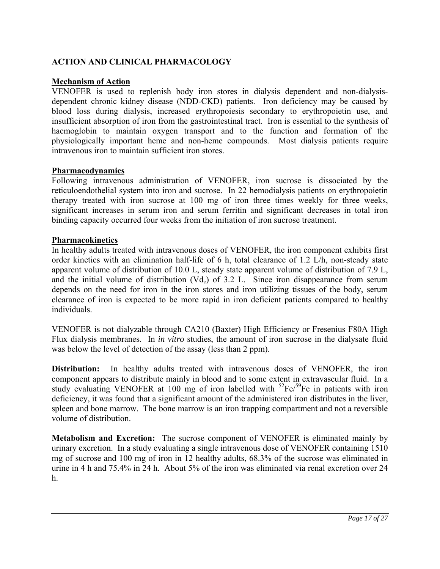# **ACTION AND CLINICAL PHARMACOLOGY**

### **Mechanism of Action**

VENOFER is used to replenish body iron stores in dialysis dependent and non-dialysisdependent chronic kidney disease (NDD-CKD) patients. Iron deficiency may be caused by blood loss during dialysis, increased erythropoiesis secondary to erythropoietin use, and insufficient absorption of iron from the gastrointestinal tract. Iron is essential to the synthesis of haemoglobin to maintain oxygen transport and to the function and formation of the physiologically important heme and non-heme compounds. Most dialysis patients require intravenous iron to maintain sufficient iron stores.

### **Pharmacodynamics**

Following intravenous administration of VENOFER, iron sucrose is dissociated by the reticuloendothelial system into iron and sucrose. In 22 hemodialysis patients on erythropoietin therapy treated with iron sucrose at 100 mg of iron three times weekly for three weeks, significant increases in serum iron and serum ferritin and significant decreases in total iron binding capacity occurred four weeks from the initiation of iron sucrose treatment.

#### **Pharmacokinetics**

In healthy adults treated with intravenous doses of VENOFER, the iron component exhibits first order kinetics with an elimination half-life of 6 h, total clearance of 1.2 L/h, non-steady state apparent volume of distribution of 10.0 L, steady state apparent volume of distribution of 7.9 L, and the initial volume of distribution  $(Vd_c)$  of 3.2 L. Since iron disappearance from serum depends on the need for iron in the iron stores and iron utilizing tissues of the body, serum clearance of iron is expected to be more rapid in iron deficient patients compared to healthy individuals.

VENOFER is not dialyzable through CA210 (Baxter) High Efficiency or Fresenius F80A High Flux dialysis membranes. In *in vitro* studies, the amount of iron sucrose in the dialysate fluid was below the level of detection of the assay (less than 2 ppm).

**Distribution:** In healthy adults treated with intravenous doses of VENOFER, the iron component appears to distribute mainly in blood and to some extent in extravascular fluid. In a study evaluating VENOFER at 100 mg of iron labelled with  ${}^{52}Fe/{}^{59}Fe$  in patients with iron deficiency, it was found that a significant amount of the administered iron distributes in the liver, spleen and bone marrow. The bone marrow is an iron trapping compartment and not a reversible volume of distribution.

**Metabolism and Excretion:** The sucrose component of VENOFER is eliminated mainly by urinary excretion. In a study evaluating a single intravenous dose of VENOFER containing 1510 mg of sucrose and 100 mg of iron in 12 healthy adults, 68.3% of the sucrose was eliminated in urine in 4 h and 75.4% in 24 h. About 5% of the iron was eliminated via renal excretion over 24 h.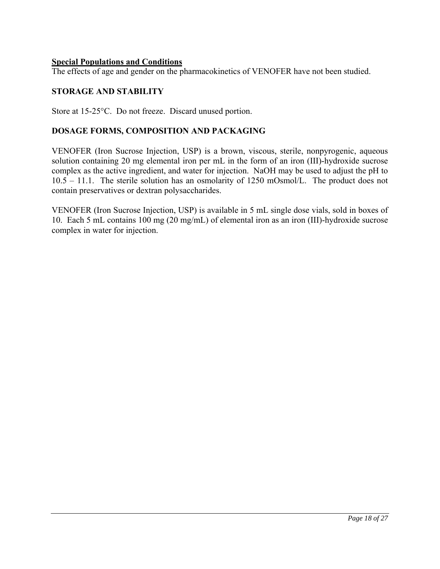### **Special Populations and Conditions**

The effects of age and gender on the pharmacokinetics of VENOFER have not been studied.

# **STORAGE AND STABILITY**

Store at 15-25°C. Do not freeze. Discard unused portion.

## **DOSAGE FORMS, COMPOSITION AND PACKAGING**

VENOFER (Iron Sucrose Injection, USP) is a brown, viscous, sterile, nonpyrogenic, aqueous solution containing 20 mg elemental iron per mL in the form of an iron (III)-hydroxide sucrose complex as the active ingredient, and water for injection. NaOH may be used to adjust the pH to 10.5 – 11.1. The sterile solution has an osmolarity of 1250 mOsmol/L. The product does not contain preservatives or dextran polysaccharides.

VENOFER (Iron Sucrose Injection, USP) is available in 5 mL single dose vials, sold in boxes of 10. Each 5 mL contains 100 mg (20 mg/mL) of elemental iron as an iron (III)-hydroxide sucrose complex in water for injection.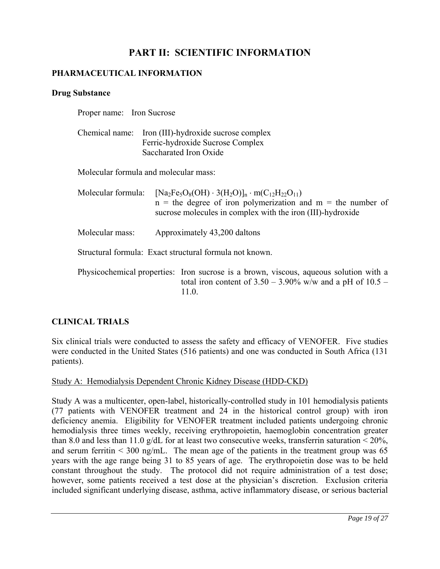# **PART II: SCIENTIFIC INFORMATION**

# **PHARMACEUTICAL INFORMATION**

#### **Drug Substance**

| Proper name: Iron Sucrose |                                                                                                                                                                                                  |
|---------------------------|--------------------------------------------------------------------------------------------------------------------------------------------------------------------------------------------------|
|                           | Chemical name: Iron (III)-hydroxide sucrose complex<br>Ferric-hydroxide Sucrose Complex<br>Saccharated Iron Oxide                                                                                |
|                           | Molecular formula and molecular mass:                                                                                                                                                            |
| Molecular formula:        | $[Na_2Fe_5O_8(OH) \cdot 3(H_2O)]_n \cdot m(C_{12}H_{22}O_{11})$<br>$n =$ the degree of iron polymerization and $m =$ the number of<br>sucrose molecules in complex with the iron (III)-hydroxide |
| Molecular mass:           | Approximately 43,200 daltons                                                                                                                                                                     |
|                           | Structural formula: Exact structural formula not known.                                                                                                                                          |
|                           | Physicochemical properties: Iron sucrose is a brown, viscous, aqueous solution with a<br>total iron content of $3.50 - 3.90\%$ w/w and a pH of $10.5 -$<br>11.0.                                 |

# **CLINICAL TRIALS**

Six clinical trials were conducted to assess the safety and efficacy of VENOFER. Five studies were conducted in the United States (516 patients) and one was conducted in South Africa (131 patients).

Study A: Hemodialysis Dependent Chronic Kidney Disease (HDD-CKD)

Study A was a multicenter, open-label, historically-controlled study in 101 hemodialysis patients (77 patients with VENOFER treatment and 24 in the historical control group) with iron deficiency anemia. Eligibility for VENOFER treatment included patients undergoing chronic hemodialysis three times weekly, receiving erythropoietin, haemoglobin concentration greater than 8.0 and less than 11.0 g/dL for at least two consecutive weeks, transferrin saturation  $\leq 20\%$ , and serum ferritin  $\leq 300$  ng/mL. The mean age of the patients in the treatment group was 65 years with the age range being 31 to 85 years of age. The erythropoietin dose was to be held constant throughout the study. The protocol did not require administration of a test dose; however, some patients received a test dose at the physician's discretion. Exclusion criteria included significant underlying disease, asthma, active inflammatory disease, or serious bacterial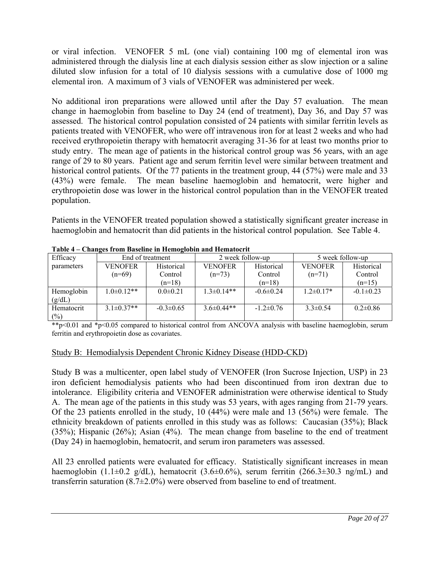or viral infection. VENOFER 5 mL (one vial) containing 100 mg of elemental iron was administered through the dialysis line at each dialysis session either as slow injection or a saline diluted slow infusion for a total of 10 dialysis sessions with a cumulative dose of 1000 mg elemental iron. A maximum of 3 vials of VENOFER was administered per week.

No additional iron preparations were allowed until after the Day 57 evaluation. The mean change in haemoglobin from baseline to Day 24 (end of treatment), Day 36, and Day 57 was assessed. The historical control population consisted of 24 patients with similar ferritin levels as patients treated with VENOFER, who were off intravenous iron for at least 2 weeks and who had received erythropoietin therapy with hematocrit averaging 31-36 for at least two months prior to study entry. The mean age of patients in the historical control group was 56 years, with an age range of 29 to 80 years. Patient age and serum ferritin level were similar between treatment and historical control patients. Of the 77 patients in the treatment group, 44 (57%) were male and 33 (43%) were female. The mean baseline haemoglobin and hematocrit, were higher and erythropoietin dose was lower in the historical control population than in the VENOFER treated population.

Patients in the VENOFER treated population showed a statistically significant greater increase in haemoglobin and hematocrit than did patients in the historical control population. See Table 4.

| Efficacy             | End of treatment |                 | 2 week follow-up |                 | 5 week follow-up |                 |  |
|----------------------|------------------|-----------------|------------------|-----------------|------------------|-----------------|--|
| parameters           | <b>VENOFER</b>   | Historical      | <b>VENOFER</b>   | Historical      | <b>VENOFER</b>   | Historical      |  |
|                      | $(n=69)$         | Control         | $(n=73)$         | Control         | $(n=71)$         | Control         |  |
|                      |                  | $(n=18)$        |                  | $(n=18)$        |                  | $(n=15)$        |  |
| Hemoglobin<br>(g/dL) | $1.0\pm0.12**$   | $0.0 \pm 0.21$  | $1.3\pm 0.14**$  | $-0.6 \pm 0.24$ | $1.2\pm 0.17*$   | $-0.1 \pm 0.23$ |  |
| Hematocrit           | $3.1 \pm 0.37**$ | $-0.3 \pm 0.65$ | $3.6\pm0.44**$   | $-1.2 \pm 0.76$ | $3.3 \pm 0.54$   | $0.2 \pm 0.86$  |  |
| $(\%)$               |                  |                 |                  |                 |                  |                 |  |

**Table 4 – Changes from Baseline in Hemoglobin and Hematocrit**

\*\*p<0.01 and \*p<0.05 compared to historical control from ANCOVA analysis with baseline haemoglobin, serum ferritin and erythropoietin dose as covariates.

# Study B: Hemodialysis Dependent Chronic Kidney Disease (HDD-CKD)

Study B was a multicenter, open label study of VENOFER (Iron Sucrose Injection, USP) in 23 iron deficient hemodialysis patients who had been discontinued from iron dextran due to intolerance. Eligibility criteria and VENOFER administration were otherwise identical to Study A. The mean age of the patients in this study was 53 years, with ages ranging from 21-79 years. Of the 23 patients enrolled in the study, 10 (44%) were male and 13 (56%) were female. The ethnicity breakdown of patients enrolled in this study was as follows: Caucasian (35%); Black (35%); Hispanic (26%); Asian (4%). The mean change from baseline to the end of treatment (Day 24) in haemoglobin, hematocrit, and serum iron parameters was assessed.

All 23 enrolled patients were evaluated for efficacy. Statistically significant increases in mean haemoglobin (1.1 $\pm$ 0.2 g/dL), hematocrit (3.6 $\pm$ 0.6%), serum ferritin (266.3 $\pm$ 30.3 ng/mL) and transferrin saturation (8.7±2.0%) were observed from baseline to end of treatment.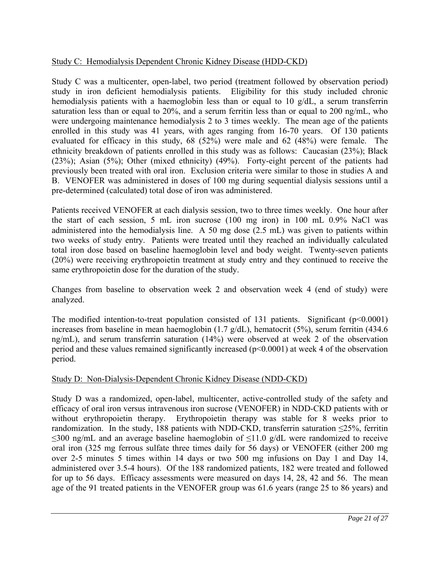# Study C: Hemodialysis Dependent Chronic Kidney Disease (HDD-CKD)

Study C was a multicenter, open-label, two period (treatment followed by observation period) study in iron deficient hemodialysis patients. Eligibility for this study included chronic hemodialysis patients with a haemoglobin less than or equal to 10 g/dL, a serum transferrin saturation less than or equal to 20%, and a serum ferritin less than or equal to 200 ng/mL, who were undergoing maintenance hemodialysis 2 to 3 times weekly. The mean age of the patients enrolled in this study was 41 years, with ages ranging from 16-70 years. Of 130 patients evaluated for efficacy in this study, 68 (52%) were male and 62 (48%) were female. The ethnicity breakdown of patients enrolled in this study was as follows: Caucasian (23%); Black (23%); Asian (5%); Other (mixed ethnicity) (49%). Forty-eight percent of the patients had previously been treated with oral iron. Exclusion criteria were similar to those in studies A and B. VENOFER was administered in doses of 100 mg during sequential dialysis sessions until a pre-determined (calculated) total dose of iron was administered.

Patients received VENOFER at each dialysis session, two to three times weekly. One hour after the start of each session, 5 mL iron sucrose (100 mg iron) in 100 mL 0.9% NaCl was administered into the hemodialysis line. A 50 mg dose (2.5 mL) was given to patients within two weeks of study entry. Patients were treated until they reached an individually calculated total iron dose based on baseline haemoglobin level and body weight. Twenty-seven patients (20%) were receiving erythropoietin treatment at study entry and they continued to receive the same erythropoietin dose for the duration of the study.

Changes from baseline to observation week 2 and observation week 4 (end of study) were analyzed.

The modified intention-to-treat population consisted of 131 patients. Significant (p<0.0001) increases from baseline in mean haemoglobin (1.7  $g/dL$ ), hematocrit (5%), serum ferritin (434.6 ng/mL), and serum transferrin saturation (14%) were observed at week 2 of the observation period and these values remained significantly increased ( $p<0.0001$ ) at week 4 of the observation period.

# Study D: Non-Dialysis-Dependent Chronic Kidney Disease (NDD-CKD)

Study D was a randomized, open-label, multicenter, active-controlled study of the safety and efficacy of oral iron versus intravenous iron sucrose (VENOFER) in NDD-CKD patients with or without erythropoietin therapy. Erythropoietin therapy was stable for 8 weeks prior to randomization. In the study, 188 patients with NDD-CKD, transferrin saturation  $\leq$ 25%, ferritin  $\leq$ 300 ng/mL and an average baseline haemoglobin of  $\leq$ 11.0 g/dL were randomized to receive oral iron (325 mg ferrous sulfate three times daily for 56 days) or VENOFER (either 200 mg over 2-5 minutes 5 times within 14 days or two 500 mg infusions on Day 1 and Day 14, administered over 3.5-4 hours). Of the 188 randomized patients, 182 were treated and followed for up to 56 days. Efficacy assessments were measured on days 14, 28, 42 and 56. The mean age of the 91 treated patients in the VENOFER group was 61.6 years (range 25 to 86 years) and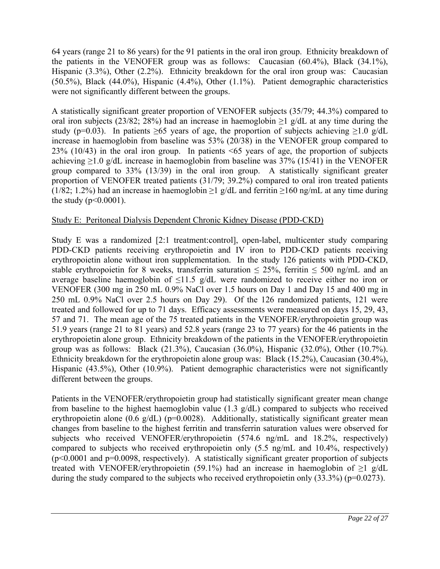64 years (range 21 to 86 years) for the 91 patients in the oral iron group. Ethnicity breakdown of the patients in the VENOFER group was as follows: Caucasian (60.4%), Black (34.1%), Hispanic (3.3%), Other (2.2%). Ethnicity breakdown for the oral iron group was: Caucasian (50.5%), Black (44.0%), Hispanic (4.4%), Other (1.1%). Patient demographic characteristics were not significantly different between the groups.

A statistically significant greater proportion of VENOFER subjects (35/79; 44.3%) compared to oral iron subjects (23/82; 28%) had an increase in haemoglobin  $\geq 1$  g/dL at any time during the study (p=0.03). In patients  $\geq 65$  years of age, the proportion of subjects achieving  $\geq 1.0$  g/dL increase in haemoglobin from baseline was 53% (20/38) in the VENOFER group compared to 23% (10/43) in the oral iron group. In patients <65 years of age, the proportion of subjects achieving  $\geq$ 1.0 g/dL increase in haemoglobin from baseline was 37% (15/41) in the VENOFER group compared to 33% (13/39) in the oral iron group. A statistically significant greater proportion of VENOFER treated patients (31/79; 39.2%) compared to oral iron treated patients (1/82; 1.2%) had an increase in haemoglobin  $\geq$  1 g/dL and ferritin  $\geq$  160 ng/mL at any time during the study ( $p < 0.0001$ ).

# Study E: Peritoneal Dialysis Dependent Chronic Kidney Disease (PDD-CKD)

Study E was a randomized [2:1 treatment:control], open-label, multicenter study comparing PDD-CKD patients receiving erythropoietin and IV iron to PDD-CKD patients receiving erythropoietin alone without iron supplementation. In the study 126 patients with PDD-CKD, stable erythropoietin for 8 weeks, transferrin saturation  $\leq 25\%$ , ferritin  $\leq 500$  ng/mL and an average baseline haemoglobin of  $\leq$ 11.5 g/dL were randomized to receive either no iron or VENOFER (300 mg in 250 mL 0.9% NaCl over 1.5 hours on Day 1 and Day 15 and 400 mg in 250 mL 0.9% NaCl over 2.5 hours on Day 29). Of the 126 randomized patients, 121 were treated and followed for up to 71 days. Efficacy assessments were measured on days 15, 29, 43, 57 and 71. The mean age of the 75 treated patients in the VENOFER/erythropoietin group was 51.9 years (range 21 to 81 years) and 52.8 years (range 23 to 77 years) for the 46 patients in the erythropoietin alone group. Ethnicity breakdown of the patients in the VENOFER/erythropoietin group was as follows: Black  $(21.3\%)$ , Caucasian  $(36.0\%)$ , Hispanic  $(32.0\%)$ , Other  $(10.7\%)$ . Ethnicity breakdown for the erythropoietin alone group was: Black (15.2%), Caucasian (30.4%), Hispanic (43.5%), Other (10.9%). Patient demographic characteristics were not significantly different between the groups.

Patients in the VENOFER/erythropoietin group had statistically significant greater mean change from baseline to the highest haemoglobin value (1.3 g/dL) compared to subjects who received erythropoietin alone  $(0.6 \text{ g/dL})$  (p=0.0028). Additionally, statistically significant greater mean changes from baseline to the highest ferritin and transferrin saturation values were observed for subjects who received VENOFER/erythropoietin (574.6 ng/mL and 18.2%, respectively) compared to subjects who received erythropoietin only (5.5 ng/mL and 10.4%, respectively)  $(p<0.0001$  and  $p=0.0098$ , respectively). A statistically significant greater proportion of subjects treated with VENOFER/erythropoietin (59.1%) had an increase in haemoglobin of  $\geq 1$  g/dL during the study compared to the subjects who received erythropoietin only (33.3%) (p=0.0273).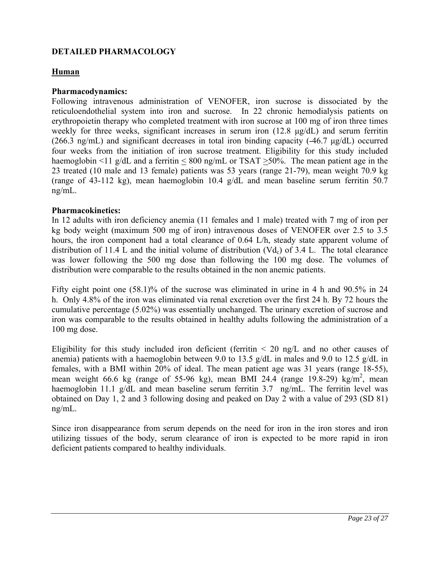# **DETAILED PHARMACOLOGY**

#### **Human**

#### **Pharmacodynamics:**

Following intravenous administration of VENOFER, iron sucrose is dissociated by the reticuloendothelial system into iron and sucrose. In 22 chronic hemodialysis patients on erythropoietin therapy who completed treatment with iron sucrose at 100 mg of iron three times weekly for three weeks, significant increases in serum iron (12.8 μg/dL) and serum ferritin (266.3 ng/mL) and significant decreases in total iron binding capacity  $(-46.7 \text{ µg/dL})$  occurred four weeks from the initiation of iron sucrose treatment. Eligibility for this study included haemoglobin  $\leq 11$  g/dL and a ferritin  $\leq 800$  ng/mL or TSAT  $\geq 50\%$ . The mean patient age in the 23 treated (10 male and 13 female) patients was 53 years (range 21-79), mean weight 70.9 kg (range of 43-112 kg), mean haemoglobin 10.4 g/dL and mean baseline serum ferritin 50.7 ng/mL.

#### **Pharmacokinetics:**

In 12 adults with iron deficiency anemia (11 females and 1 male) treated with 7 mg of iron per kg body weight (maximum 500 mg of iron) intravenous doses of VENOFER over 2.5 to 3.5 hours, the iron component had a total clearance of 0.64 L/h, steady state apparent volume of distribution of 11.4 L and the initial volume of distribution  $(Vd_c)$  of 3.4 L. The total clearance was lower following the 500 mg dose than following the 100 mg dose. The volumes of distribution were comparable to the results obtained in the non anemic patients.

Fifty eight point one (58.1)% of the sucrose was eliminated in urine in 4 h and 90.5% in 24 h. Only 4.8% of the iron was eliminated via renal excretion over the first 24 h. By 72 hours the cumulative percentage (5.02%) was essentially unchanged. The urinary excretion of sucrose and iron was comparable to the results obtained in healthy adults following the administration of a 100 mg dose.

Eligibility for this study included iron deficient (ferritin  $\leq$  20 ng/L and no other causes of anemia) patients with a haemoglobin between 9.0 to 13.5 g/dL in males and 9.0 to 12.5 g/dL in females, with a BMI within 20% of ideal. The mean patient age was 31 years (range 18-55), mean weight 66.6 kg (range of 55-96 kg), mean BMI 24.4 (range 19.8-29) kg/m<sup>2</sup>, mean haemoglobin 11.1 g/dL and mean baseline serum ferritin 3.7 ng/mL. The ferritin level was obtained on Day 1, 2 and 3 following dosing and peaked on Day 2 with a value of 293 (SD 81) ng/mL.

Since iron disappearance from serum depends on the need for iron in the iron stores and iron utilizing tissues of the body, serum clearance of iron is expected to be more rapid in iron deficient patients compared to healthy individuals.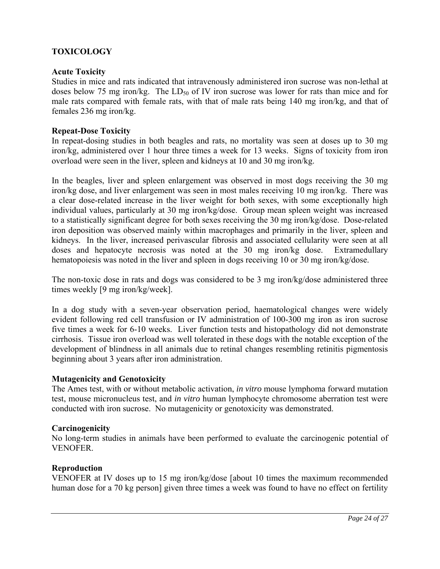# **TOXICOLOGY**

## **Acute Toxicity**

Studies in mice and rats indicated that intravenously administered iron sucrose was non-lethal at doses below 75 mg iron/kg. The  $LD_{50}$  of IV iron sucrose was lower for rats than mice and for male rats compared with female rats, with that of male rats being 140 mg iron/kg, and that of females 236 mg iron/kg.

### **Repeat-Dose Toxicity**

In repeat-dosing studies in both beagles and rats, no mortality was seen at doses up to 30 mg iron/kg, administered over 1 hour three times a week for 13 weeks. Signs of toxicity from iron overload were seen in the liver, spleen and kidneys at 10 and 30 mg iron/kg.

In the beagles, liver and spleen enlargement was observed in most dogs receiving the 30 mg iron/kg dose, and liver enlargement was seen in most males receiving 10 mg iron/kg. There was a clear dose-related increase in the liver weight for both sexes, with some exceptionally high individual values, particularly at 30 mg iron/kg/dose. Group mean spleen weight was increased to a statistically significant degree for both sexes receiving the 30 mg iron/kg/dose. Dose-related iron deposition was observed mainly within macrophages and primarily in the liver, spleen and kidneys. In the liver, increased perivascular fibrosis and associated cellularity were seen at all doses and hepatocyte necrosis was noted at the 30 mg iron/kg dose. Extramedullary hematopoiesis was noted in the liver and spleen in dogs receiving 10 or 30 mg iron/kg/dose.

The non-toxic dose in rats and dogs was considered to be 3 mg iron/kg/dose administered three times weekly [9 mg iron/kg/week].

In a dog study with a seven-year observation period, haematological changes were widely evident following red cell transfusion or IV administration of 100-300 mg iron as iron sucrose five times a week for 6-10 weeks. Liver function tests and histopathology did not demonstrate cirrhosis. Tissue iron overload was well tolerated in these dogs with the notable exception of the development of blindness in all animals due to retinal changes resembling retinitis pigmentosis beginning about 3 years after iron administration.

#### **Mutagenicity and Genotoxicity**

The Ames test, with or without metabolic activation, *in vitro* mouse lymphoma forward mutation test, mouse micronucleus test, and *in vitro* human lymphocyte chromosome aberration test were conducted with iron sucrose. No mutagenicity or genotoxicity was demonstrated.

#### **Carcinogenicity**

No long-term studies in animals have been performed to evaluate the carcinogenic potential of **VENOFER** 

# **Reproduction**

VENOFER at IV doses up to 15 mg iron/kg/dose [about 10 times the maximum recommended human dose for a 70 kg person] given three times a week was found to have no effect on fertility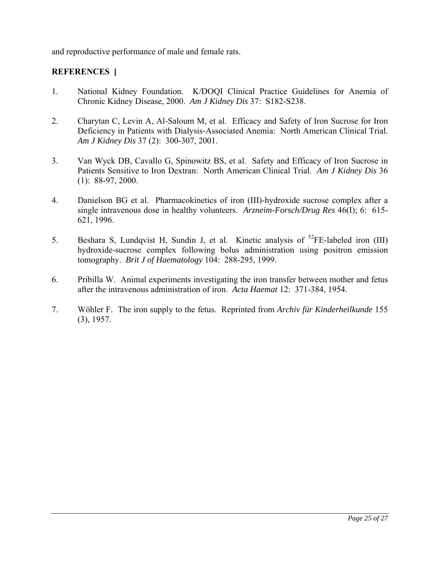and reproductive performance of male and female rats.

# **REFERENCES [**

- 1. National Kidney Foundation. K/DOQI Clinical Practice Guidelines for Anemia of Chronic Kidney Disease, 2000. *Am J Kidney Dis* 37: S182-S238.
- 2. Charytan C, Levin A, Al-Saloum M, et al. Efficacy and Safety of Iron Sucrose for Iron Deficiency in Patients with Dialysis-Associated Anemia: North American Clinical Trial. *Am J Kidney Dis* 37 (2): 300-307, 2001.
- 3. Van Wyck DB, Cavallo G, Spinowitz BS, et al. Safety and Efficacy of Iron Sucrose in Patients Sensitive to Iron Dextran: North American Clinical Trial. *Am J Kidney Dis* 36 (1): 88-97, 2000.
- 4. Danielson BG et al. Pharmacokinetics of iron (III)-hydroxide sucrose complex after a single intravenous dose in healthy volunteers. *Arzneim-Forsch/Drug Res* 46(I); 6: 615- 621, 1996.
- 5. Beshara S, Lundqvist H, Sundin J, et al. Kinetic analysis of  ${}^{52}$ FE-labeled iron (III) hydroxide-sucrose complex following bolus administration using positron emission tomography. *Brit J of Haematology* 104: 288-295, 1999.
- 6. Pribilla W. Animal experiments investigating the iron transfer between mother and fetus after the intravenous administration of iron. *Acta Haemat* 12: 371-384, 1954.
- 7. Wöhler F. The iron supply to the fetus. Reprinted from *Archiv für Kinderheilkunde* 155 (3), 1957.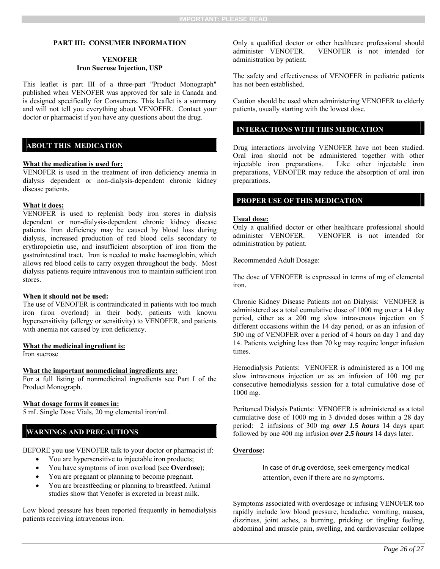#### **PART III: CONSUMER INFORMATION**

#### **VENOFER Iron Sucrose Injection, USP**

This leaflet is part III of a three-part "Product Monograph" published when VENOFER was approved for sale in Canada and is designed specifically for Consumers. This leaflet is a summary and will not tell you everything about VENOFER. Contact your doctor or pharmacist if you have any questions about the drug.

#### **ABOUT THIS MEDICATION**

#### **What the medication is used for:**

VENOFER is used in the treatment of iron deficiency anemia in dialysis dependent or non-dialysis-dependent chronic kidney disease patients.

#### **What it does:**

VENOFER is used to replenish body iron stores in dialysis dependent or non-dialysis-dependent chronic kidney disease patients. Iron deficiency may be caused by blood loss during dialysis, increased production of red blood cells secondary to erythropoietin use, and insufficient absorption of iron from the gastrointestinal tract. Iron is needed to make haemoglobin, which allows red blood cells to carry oxygen throughout the body. Most dialysis patients require intravenous iron to maintain sufficient iron stores.

#### **When it should not be used:**

The use of VENOFER is contraindicated in patients with too much iron (iron overload) in their body, patients with known hypersensitivity (allergy or sensitivity) to VENOFER, and patients with anemia not caused by iron deficiency.

#### **What the medicinal ingredient is:**

Iron sucrose

#### **What the important nonmedicinal ingredients are:**

For a full listing of nonmedicinal ingredients see Part I of the Product Monograph.

#### **What dosage forms it comes in:**

5 mL Single Dose Vials, 20 mg elemental iron/mL

#### **WARNINGS AND PRECAUTIONS**

BEFORE you use VENOFER talk to your doctor or pharmacist if:

- You are hypersensitive to injectable iron products;
- You have symptoms of iron overload (see **Overdose**);
- You are pregnant or planning to become pregnant.
- You are breastfeeding or planning to breastfeed. Animal studies show that Venofer is excreted in breast milk.

Low blood pressure has been reported frequently in hemodialysis patients receiving intravenous iron.

Only a qualified doctor or other healthcare professional should administer VENOFER. VENOFER is not intended for administration by patient.

The safety and effectiveness of VENOFER in pediatric patients has not been established.

Caution should be used when administering VENOFER to elderly patients, usually starting with the lowest dose.

### **INTERACTIONS WITH THIS MEDICATION**

Drug interactions involving VENOFER have not been studied. Oral iron should not be administered together with other injectable iron preparations. Like other injectable iron preparations, VENOFER may reduce the absorption of oral iron preparations.

### **PROPER USE OF THIS MEDICATION**

#### **Usual dose:**

Only a qualified doctor or other healthcare professional should administer VENOFER. VENOFER is not intended for administration by patient.

Recommended Adult Dosage:

The dose of VENOFER is expressed in terms of mg of elemental iron.

Chronic Kidney Disease Patients not on Dialysis: VENOFER is administered as a total cumulative dose of 1000 mg over a 14 day period, either as a 200 mg slow intravenous injection on 5 different occasions within the 14 day period, or as an infusion of 500 mg of VENOFER over a period of 4 hours on day 1 and day 14. Patients weighing less than 70 kg may require longer infusion times.

Hemodialysis Patients: VENOFER is administered as a 100 mg slow intravenous injection or as an infusion of 100 mg per consecutive hemodialysis session for a total cumulative dose of 1000 mg.

Peritoneal Dialysis Patients: VENOFER is administered as a total cumulative dose of 1000 mg in 3 divided doses within a 28 day period: 2 infusions of 300 mg *over 1.5 hours* 14 days apart followed by one 400 mg infusion *over 2.5 hours* 14 days later.

#### **Overdose:**

In case of drug overdose, seek emergency medical attention, even if there are no symptoms.

Symptoms associated with overdosage or infusing VENOFER too rapidly include low blood pressure, headache, vomiting, nausea, dizziness, joint aches, a burning, pricking or tingling feeling, abdominal and muscle pain, swelling, and cardiovascular collapse